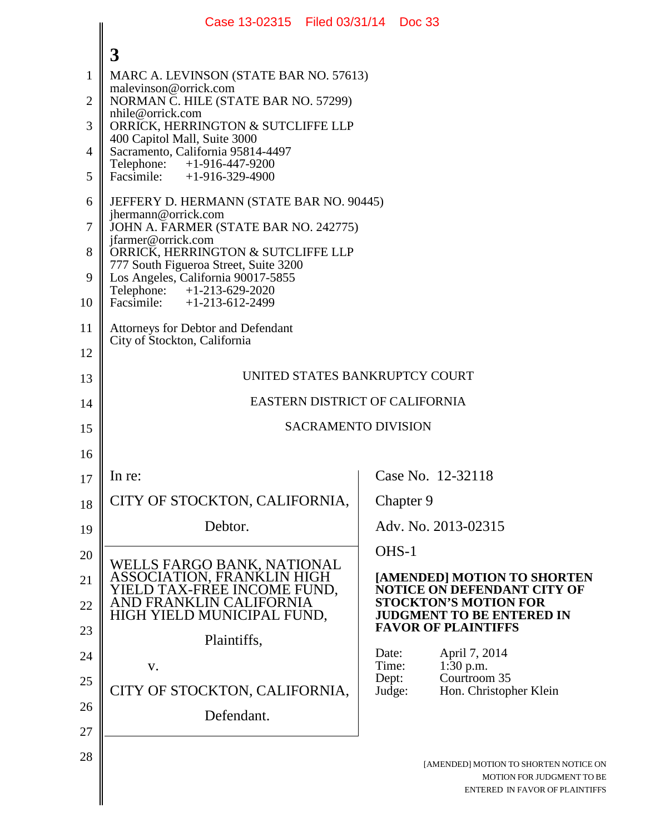|                | Case 13-02315 Filed 03/31/14 Doc 33                                                                                |                 |                                                                                                      |  |  |
|----------------|--------------------------------------------------------------------------------------------------------------------|-----------------|------------------------------------------------------------------------------------------------------|--|--|
|                | 3                                                                                                                  |                 |                                                                                                      |  |  |
| $\mathbf{1}$   | MARC A. LEVINSON (STATE BAR NO. 57613)                                                                             |                 |                                                                                                      |  |  |
| $\overline{2}$ | malevinson@orrick.com<br>NORMAN C. HILE (STATE BAR NO. 57299)<br>nhile@orrick.com                                  |                 |                                                                                                      |  |  |
| 3              | ORRICK, HERRINGTON & SUTCLIFFE LLP                                                                                 |                 |                                                                                                      |  |  |
| $\overline{4}$ | 400 Capitol Mall, Suite 3000<br>Sacramento, California 95814-4497                                                  |                 |                                                                                                      |  |  |
| 5              | Telephone:<br>+1-916-447-9200<br>Facsimile: $+1-916-329-4900$                                                      |                 |                                                                                                      |  |  |
| 6              | JEFFERY D. HERMANN (STATE BAR NO. 90445)<br>jhermann@orrick.com                                                    |                 |                                                                                                      |  |  |
| $\overline{7}$ | JOHN A. FARMER (STATE BAR NO. 242775)<br>jfarmer@orrick.com                                                        |                 |                                                                                                      |  |  |
| 8              | ORRICK, HERRINGTON & SUTCLIFFE LLP<br>777 South Figueroa Street, Suite 3200                                        |                 |                                                                                                      |  |  |
| 9              | Los Angeles, California 90017-5855<br>Telephone: +1-213-629-2020                                                   |                 |                                                                                                      |  |  |
| 10             | Facsimile: $+1-213-612-2499$                                                                                       |                 |                                                                                                      |  |  |
| 11             | <b>Attorneys for Debtor and Defendant</b><br>City of Stockton, California                                          |                 |                                                                                                      |  |  |
| 12             |                                                                                                                    |                 |                                                                                                      |  |  |
| 13             | UNITED STATES BANKRUPTCY COURT                                                                                     |                 |                                                                                                      |  |  |
| 14             | EASTERN DISTRICT OF CALIFORNIA                                                                                     |                 |                                                                                                      |  |  |
| 15             | <b>SACRAMENTO DIVISION</b>                                                                                         |                 |                                                                                                      |  |  |
| 16             |                                                                                                                    |                 |                                                                                                      |  |  |
| 17             | In re:                                                                                                             |                 | Case No. 12-32118                                                                                    |  |  |
| 18             | CITY OF STOCKTON, CALIFORNIA,                                                                                      |                 | Chapter 9                                                                                            |  |  |
| 19             | Debtor.                                                                                                            |                 | Adv. No. 2013-02315                                                                                  |  |  |
| 20             |                                                                                                                    | OHS-1           |                                                                                                      |  |  |
| 21             | WELLS FARGO BANK, NATIONAL<br>ASSOCIATION, FRANKLIN HIGH<br>YIELD TAX-FREE INCOME FUND,<br>AND FRANKLIN CALIFORNIA |                 | [AMENDED] MOTION TO SHORTEN<br><b>NOTICE ON DEFENDANT CITY OF</b>                                    |  |  |
| 22             | HIGH YIELD MUNICIPAL FUND,                                                                                         |                 | <b>STOCKTON'S MOTION FOR</b><br><b>JUDGMENT TO BE ENTERED IN</b>                                     |  |  |
| 23             | Plaintiffs,                                                                                                        |                 | <b>FAVOR OF PLAINTIFFS</b>                                                                           |  |  |
| 24             | V.                                                                                                                 | Date:<br>Time:  | April 7, 2014<br>1:30 p.m.                                                                           |  |  |
| 25             | CITY OF STOCKTON, CALIFORNIA,                                                                                      | Dept:<br>Judge: | Courtroom 35<br>Hon. Christopher Klein                                                               |  |  |
| 26             | Defendant.                                                                                                         |                 |                                                                                                      |  |  |
| 27             |                                                                                                                    |                 |                                                                                                      |  |  |
| 28             |                                                                                                                    |                 | [AMENDED] MOTION TO SHORTEN NOTICE ON<br>MOTION FOR JUDGMENT TO BE<br>ENTERED IN FAVOR OF PLAINTIFFS |  |  |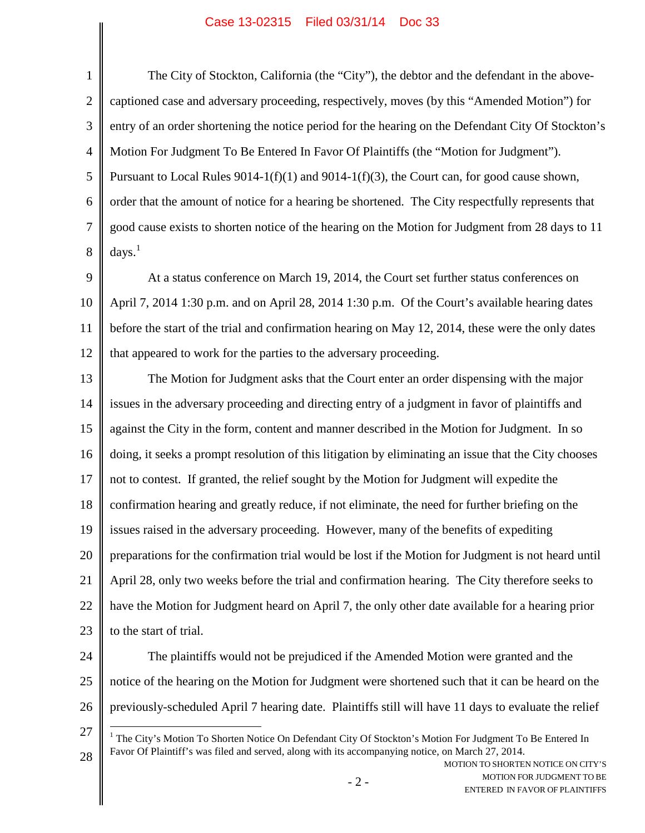## Case 13-02315 Filed 03/31/14 Doc 33

I

 $\parallel$ 

| 1              | The City of Stockton, California (the "City"), the debtor and the defendant in the above-                                                                                                                                                                                                     |  |  |  |
|----------------|-----------------------------------------------------------------------------------------------------------------------------------------------------------------------------------------------------------------------------------------------------------------------------------------------|--|--|--|
| $\overline{2}$ | captioned case and adversary proceeding, respectively, moves (by this "Amended Motion") for                                                                                                                                                                                                   |  |  |  |
| 3              | entry of an order shortening the notice period for the hearing on the Defendant City Of Stockton's                                                                                                                                                                                            |  |  |  |
| $\overline{4}$ | Motion For Judgment To Be Entered In Favor Of Plaintiffs (the "Motion for Judgment").                                                                                                                                                                                                         |  |  |  |
| 5              | Pursuant to Local Rules $9014-1(f)(1)$ and $9014-1(f)(3)$ , the Court can, for good cause shown,                                                                                                                                                                                              |  |  |  |
| 6              | order that the amount of notice for a hearing be shortened. The City respectfully represents that                                                                                                                                                                                             |  |  |  |
| $\overline{7}$ | good cause exists to shorten notice of the hearing on the Motion for Judgment from 28 days to 11                                                                                                                                                                                              |  |  |  |
| 8              | days. <sup>1</sup>                                                                                                                                                                                                                                                                            |  |  |  |
| 9              | At a status conference on March 19, 2014, the Court set further status conferences on                                                                                                                                                                                                         |  |  |  |
| 10             | April 7, 2014 1:30 p.m. and on April 28, 2014 1:30 p.m. Of the Court's available hearing dates                                                                                                                                                                                                |  |  |  |
| 11             | before the start of the trial and confirmation hearing on May 12, 2014, these were the only dates                                                                                                                                                                                             |  |  |  |
| 12             | that appeared to work for the parties to the adversary proceeding.                                                                                                                                                                                                                            |  |  |  |
| 13             | The Motion for Judgment asks that the Court enter an order dispensing with the major                                                                                                                                                                                                          |  |  |  |
| 14             | issues in the adversary proceeding and directing entry of a judgment in favor of plaintiffs and                                                                                                                                                                                               |  |  |  |
| 15             | against the City in the form, content and manner described in the Motion for Judgment. In so                                                                                                                                                                                                  |  |  |  |
| 16             | doing, it seeks a prompt resolution of this litigation by eliminating an issue that the City chooses                                                                                                                                                                                          |  |  |  |
| 17             | not to contest. If granted, the relief sought by the Motion for Judgment will expedite the                                                                                                                                                                                                    |  |  |  |
| 18             | confirmation hearing and greatly reduce, if not eliminate, the need for further briefing on the                                                                                                                                                                                               |  |  |  |
| 19             | issues raised in the adversary proceeding. However, many of the benefits of expediting                                                                                                                                                                                                        |  |  |  |
| 20             | preparations for the confirmation trial would be lost if the Motion for Judgment is not heard until                                                                                                                                                                                           |  |  |  |
| 21             | April 28, only two weeks before the trial and confirmation hearing. The City therefore seeks to                                                                                                                                                                                               |  |  |  |
| 22             | have the Motion for Judgment heard on April 7, the only other date available for a hearing prior                                                                                                                                                                                              |  |  |  |
| 23             | to the start of trial.                                                                                                                                                                                                                                                                        |  |  |  |
| 24             | The plaintiffs would not be prejudiced if the Amended Motion were granted and the                                                                                                                                                                                                             |  |  |  |
| 25             | notice of the hearing on the Motion for Judgment were shortened such that it can be heard on the                                                                                                                                                                                              |  |  |  |
| 26             | previously-scheduled April 7 hearing date. Plaintiffs still will have 11 days to evaluate the relief                                                                                                                                                                                          |  |  |  |
| 27<br>28       | <sup>1</sup> The City's Motion To Shorten Notice On Defendant City Of Stockton's Motion For Judgment To Be Entered In<br>Favor Of Plaintiff's was filed and served, along with its accompanying notice, on March 27, 2014.<br>MOTION TO SHORTEN NOTICE ON CITY'S<br>MOTION FOR JUDGMENT TO BE |  |  |  |
|                | $-2-$<br>ENTERED IN FAVOR OF PLAINTIFFS                                                                                                                                                                                                                                                       |  |  |  |